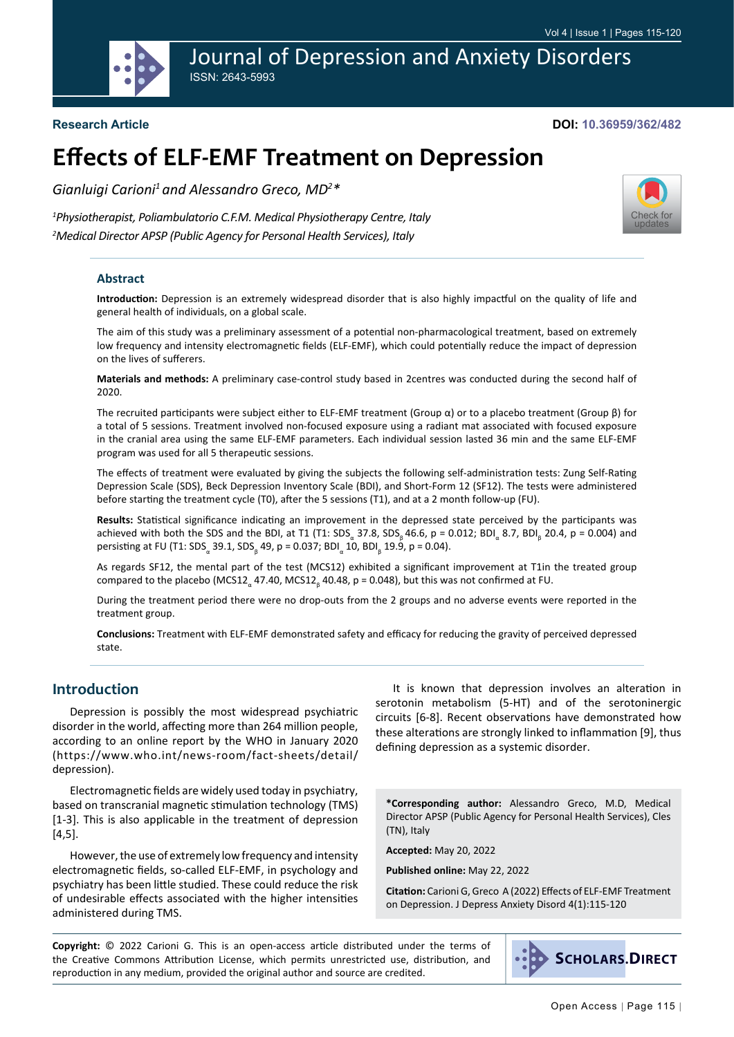Journal of Depression and Anxiety Disorders ISSN: 2643-5993

#### **Research Article**

#### **DOI: 10.36959/362/482**

[Check for](http://crossmark.crossref.org/dialog/?doi=10.36959/362/482&domain=pdf) updates

# **Effects of ELF-EMF Treatment on Depression**

*Gianluigi Carioni1 and Alessandro Greco, MD2 \**

*1 Physiotherapist, Poliambulatorio C.F.M. Medical Physiotherapy Centre, Italy 2 Medical Director APSP (Public Agency for Personal Health Services), Italy*

#### **Abstract**

**Introduction:** Depression is an extremely widespread disorder that is also highly impactful on the quality of life and general health of individuals, on a global scale.

The aim of this study was a preliminary assessment of a potential non-pharmacological treatment, based on extremely low frequency and intensity electromagnetic fields (ELF-EMF), which could potentially reduce the impact of depression on the lives of sufferers.

**Materials and methods:** A preliminary case-control study based in 2centres was conducted during the second half of 2020.

The recruited participants were subject either to ELF-EMF treatment (Group α) or to a placebo treatment (Group β) for a total of 5 sessions. Treatment involved non-focused exposure using a radiant mat associated with focused exposure in the cranial area using the same ELF-EMF parameters. Each individual session lasted 36 min and the same ELF-EMF program was used for all 5 therapeutic sessions.

The effects of treatment were evaluated by giving the subjects the following self-administration tests: Zung Self-Rating Depression Scale (SDS), Beck Depression Inventory Scale (BDI), and Short-Form 12 (SF12). The tests were administered before starting the treatment cycle (T0), after the 5 sessions (T1), and at a 2 month follow-up (FU).

**Results:** Statistical significance indicating an improvement in the depressed state perceived by the participants was achieved with both the SDS and the BDI, at T1 (T1: SDS<sub>a</sub> 37.8, SDS<sub>β</sub> 46.6, p = 0.012; BDI<sub>a</sub> 8.7, BDI<sub>β</sub> 20.4, p = 0.004) and persisting at FU (T1: SDS<sub>a</sub> 39.1, SDS<sub>β</sub> 49, p = 0.037; BDI<sub>a</sub> 10, BDI<sub>β</sub> 19.9, p = 0.04).

As regards SF12, the mental part of the test (MCS12) exhibited a significant improvement at T1in the treated group compared to the placebo (MCS12<sub>α</sub> 47.40, MCS12<sub>β</sub> 40.48, p = 0.048), but this was not confirmed at FU.

During the treatment period there were no drop-outs from the 2 groups and no adverse events were reported in the treatment group.

**Conclusions:** Treatment with ELF-EMF demonstrated safety and efficacy for reducing the gravity of perceived depressed state.

## **Introduction**

Depression is possibly the most widespread psychiatric disorder in the world, affecting more than 264 million people, according to an online report by the WHO in January 2020 ([https://www.who.int/news-room/fact-sheets/detail/](https://www.who.int/news-room/fact-sheets/detail/depression) [depression](https://www.who.int/news-room/fact-sheets/detail/depression)).

Electromagnetic fields are widely used today in psychiatry, based on transcranial magnetic stimulation technology (TMS) [1-3]. This is also applicable in the treatment of depression [4,5].

However, the use of extremely low frequency and intensity electromagnetic fields, so-called ELF-EMF, in psychology and psychiatry has been little studied. These could reduce the risk of undesirable effects associated with the higher intensities administered during TMS.

It is known that depression involves an alteration in serotonin metabolism (5-HT) and of the serotoninergic circuits [6-8]. Recent observations have demonstrated how these alterations are strongly linked to inflammation [9], thus defining depression as a systemic disorder.

**\*Corresponding author:** Alessandro Greco, M.D, Medical Director APSP (Public Agency for Personal Health Services), Cles (TN), Italy

**Accepted:** May 20, 2022

**Published online:** May 22, 2022

**Citation:** Carioni G, Greco A (2022) Effects of ELF-EMF Treatment on Depression. J Depress Anxiety Disord 4(1):115-120

**Copyright:** © 2022 Carioni G. This is an open-access article distributed under the terms of the Creative Commons Attribution License, which permits unrestricted use, distribution, and reproduction in any medium, provided the original author and source are credited.

**SCHOLARS.DIRECT**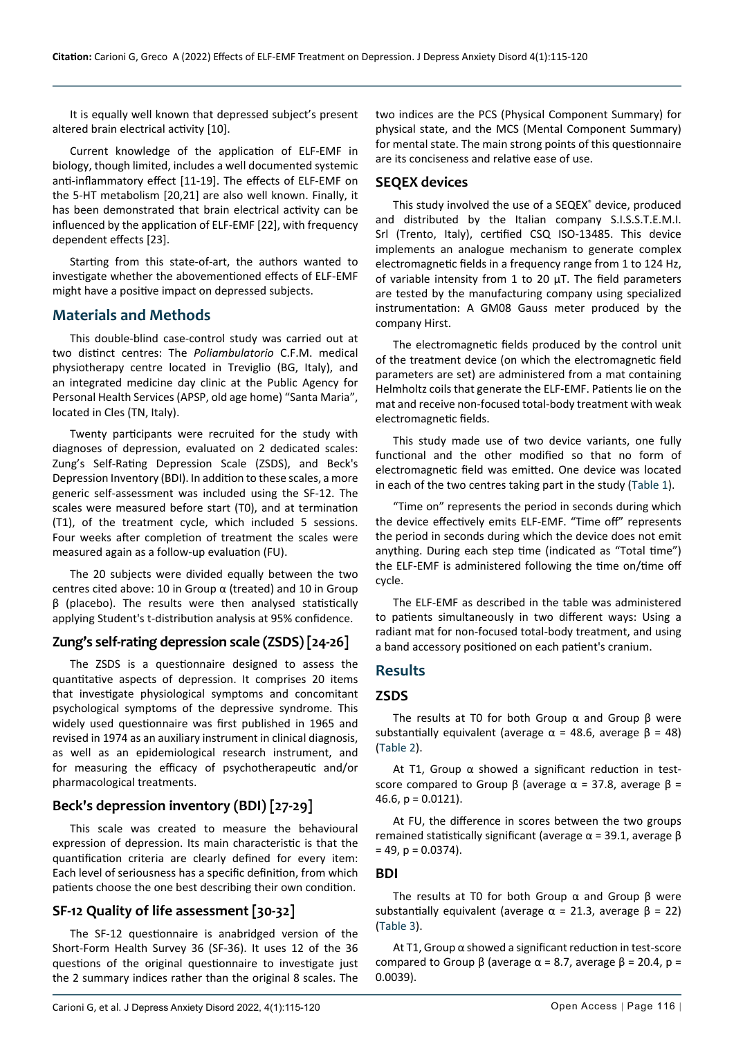It is equally well known that depressed subject's present altered brain electrical activity [10].

Current knowledge of the application of ELF-EMF in biology, though limited, includes a well documented systemic anti-inflammatory effect [11-19]. The effects of ELF-EMF on the 5-HT metabolism [20,21] are also well known. Finally, it has been demonstrated that brain electrical activity can be influenced by the application of ELF-EMF [22], with frequency dependent effects [23].

Starting from this state-of-art, the authors wanted to investigate whether the abovementioned effects of ELF-EMF might have a positive impact on depressed subjects.

#### **Materials and Methods**

This double-blind case-control study was carried out at two distinct centres: The *Poliambulatorio* C.F.M. medical physiotherapy centre located in Treviglio (BG, Italy), and an integrated medicine day clinic at the Public Agency for Personal Health Services (APSP, old age home) "Santa Maria", located in Cles (TN, Italy).

Twenty participants were recruited for the study with diagnoses of depression, evaluated on 2 dedicated scales: Zung's Self-Rating Depression Scale (ZSDS), and Beck's Depression Inventory (BDI). In addition to these scales, a more generic self-assessment was included using the SF-12. The scales were measured before start (T0), and at termination (T1), of the treatment cycle, which included 5 sessions. Four weeks after completion of treatment the scales were measured again as a follow-up evaluation (FU).

The 20 subjects were divided equally between the two centres cited above: 10 in Group  $\alpha$  (treated) and 10 in Group β (placebo). The results were then analysed statistically applying Student's t-distribution analysis at 95% confidence.

## **Zung's self-rating depression scale (ZSDS) [24-26]**

The ZSDS is a questionnaire designed to assess the quantitative aspects of depression. It comprises 20 items that investigate physiological symptoms and concomitant psychological symptoms of the depressive syndrome. This widely used questionnaire was first published in 1965 and revised in 1974 as an auxiliary instrument in clinical diagnosis, as well as an epidemiological research instrument, and for measuring the efficacy of psychotherapeutic and/or pharmacological treatments.

## **Beck's depression inventory (BDI) [27-29]**

This scale was created to measure the behavioural expression of depression. Its main characteristic is that the quantification criteria are clearly defined for every item: Each level of seriousness has a specific definition, from which patients choose the one best describing their own condition.

## **SF-12 Quality of life assessment [30-32]**

The SF-12 questionnaire is anabridged version of the Short-Form Health Survey 36 (SF-36). It uses 12 of the 36 questions of the original questionnaire to investigate just the 2 summary indices rather than the original 8 scales. The two indices are the PCS (Physical Component Summary) for physical state, and the MCS (Mental Component Summary) for mental state. The main strong points of this questionnaire are its conciseness and relative ease of use.

#### **SEQEX devices**

This study involved the use of a SEQEX® device, produced and distributed by the Italian company S.I.S.S.T.E.M.I. Srl (Trento, Italy), certified CSQ ISO-13485. This device implements an analogue mechanism to generate complex electromagnetic fields in a frequency range from 1 to 124 Hz, of variable intensity from 1 to 20  $\mu$ T. The field parameters are tested by the manufacturing company using specialized instrumentation: A GM08 Gauss meter produced by the company Hirst.

The electromagnetic fields produced by the control unit of the treatment device (on which the electromagnetic field parameters are set) are administered from a mat containing Helmholtz coils that generate the ELF-EMF. Patients lie on the mat and receive non-focused total-body treatment with weak electromagnetic fields.

This study made use of two device variants, one fully functional and the other modified so that no form of electromagnetic field was emitted. One device was located in each of the two centres taking part in the study ([Table 1](#page-2-0)).

"Time on" represents the period in seconds during which the device effectively emits ELF-EMF. "Time off" represents the period in seconds during which the device does not emit anything. During each step time (indicated as "Total time") the ELF-EMF is administered following the time on/time off cycle.

The ELF-EMF as described in the table was administered to patients simultaneously in two different ways: Using a radiant mat for non-focused total-body treatment, and using a band accessory positioned on each patient's cranium.

## **Results**

#### **ZSDS**

The results at T0 for both Group  $\alpha$  and Group  $\beta$  were substantially equivalent (average  $\alpha$  = 48.6, average  $\beta$  = 48) ([Table 2](#page-2-1)).

At T1, Group  $\alpha$  showed a significant reduction in testscore compared to Group β (average  $\alpha$  = 37.8, average β = 46.6,  $p = 0.0121$ ).

At FU, the difference in scores between the two groups remained statistically significant (average  $α = 39.1$ , average  $β$  $= 49$ ,  $p = 0.0374$ ).

#### **BDI**

The results at T0 for both Group  $\alpha$  and Group  $\beta$  were substantially equivalent (average  $\alpha$  = 21.3, average  $\beta$  = 22) ([Table 3](#page-2-2)).

At T1, Group α showed a significant reduction in test-score compared to Group β (average  $\alpha$  = 8.7, average β = 20.4, p = 0.0039).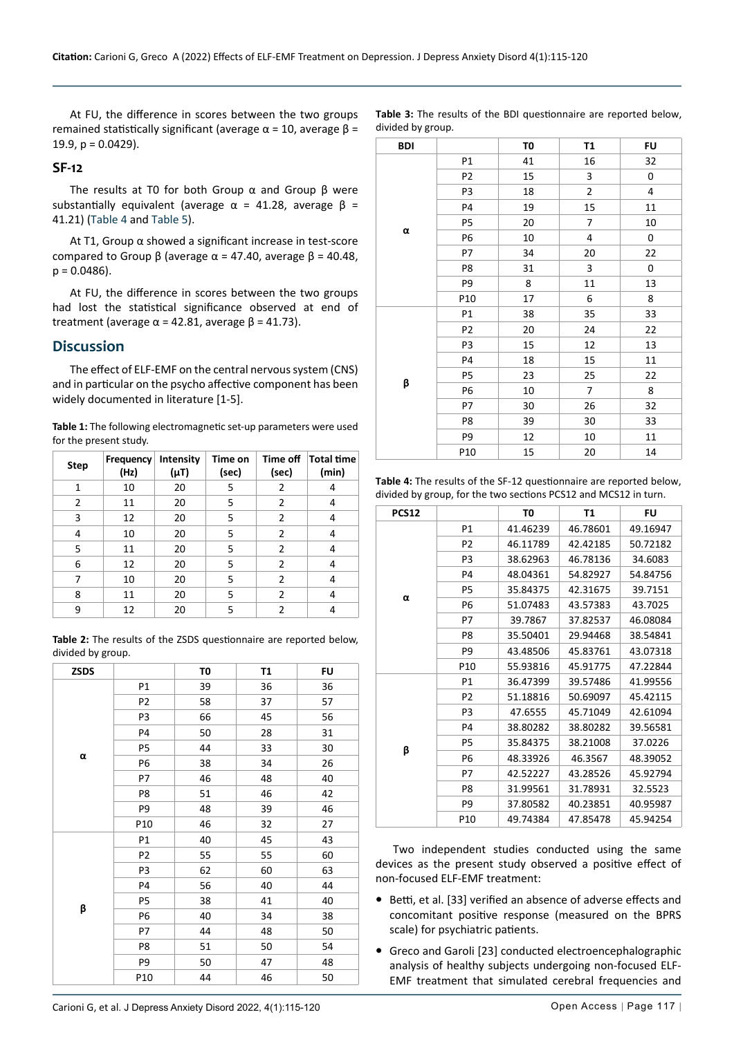At FU, the difference in scores between the two groups remained statistically significant (average  $α = 10$ , average  $β =$ 19.9,  $p = 0.0429$ ).

#### **SF-12**

The results at T0 for both Group  $\alpha$  and Group  $\beta$  were substantially equivalent (average  $\alpha$  = 41.28, average  $\beta$  = 41.21) ([Table 4](#page-2-3) and [Table 5](#page-3-0)).

At T1, Group α showed a significant increase in test-score compared to Group β (average  $\alpha$  = 47.40, average  $\beta$  = 40.48,  $p = 0.0486$ ).

At FU, the difference in scores between the two groups had lost the statistical significance observed at end of treatment (average  $\alpha$  = 42.81, average  $\beta$  = 41.73).

## **Discussion**

The effect of ELF-EMF on the central nervous system (CNS) and in particular on the psycho affective component has been widely documented in literature [1-5].

<span id="page-2-0"></span>

| Table 1: The following electromagnetic set-up parameters were used |
|--------------------------------------------------------------------|
| for the present study.                                             |

| <b>Step</b>    | Frequency<br>(Hz) | Intensity<br>(µT) | Time on<br>(sec) | Time off<br>(sec) | Total time<br>(min) |
|----------------|-------------------|-------------------|------------------|-------------------|---------------------|
| 1              | 10                | 20                | 5                | 2                 | 4                   |
| $\overline{2}$ | 11                | 20                | 5                | $\overline{2}$    | 4                   |
| 3              | 12                | 20                | 5                | $\overline{2}$    | 4                   |
| 4              | 10                | 20                | 5                | 2                 | 4                   |
| 5              | 11                | 20                | 5                | 2                 | 4                   |
| 6              | 12                | 20                | 5                | 2                 | 4                   |
| 7              | 10                | 20                | 5                | $\overline{2}$    | 4                   |
| 8              | 11                | 20                | 5                | 2                 | 4                   |
| 9              | 12                | 20                | 5                | $\mathfrak z$     | 4                   |

<span id="page-2-1"></span>**Table 2:** The results of the ZSDS questionnaire are reported below, divided by group.

| <b>ZSDS</b> |                | T0 | T1 | <b>FU</b> |
|-------------|----------------|----|----|-----------|
|             | P1             | 39 | 36 | 36        |
|             | P <sub>2</sub> | 58 | 37 | 57        |
|             | P3             | 66 | 45 | 56        |
|             | P4             | 50 | 28 | 31        |
|             | P5             | 44 | 33 | 30        |
| α           | P6             | 38 | 34 | 26        |
|             | P7             | 46 | 48 | 40        |
|             | P8             | 51 | 46 | 42        |
|             | P9             | 48 | 39 | 46        |
|             | P10            | 46 | 32 | 27        |
|             | P1             | 40 | 45 | 43        |
|             | P <sub>2</sub> | 55 | 55 | 60        |
|             | P3             | 62 | 60 | 63        |
|             | P <sub>4</sub> | 56 | 40 | 44        |
|             | P5             | 38 | 41 | 40        |
| β           | P <sub>6</sub> | 40 | 34 | 38        |
|             | P7             | 44 | 48 | 50        |
|             | P8             | 51 | 50 | 54        |
|             | P9             | 50 | 47 | 48        |
|             | P10            | 44 | 46 | 50        |

<span id="page-2-2"></span>**Table 3:** The results of the BDI questionnaire are reported below, divided by group.

| <b>BDI</b>     |                | TO | T1 | <b>FU</b> |
|----------------|----------------|----|----|-----------|
|                | P1             | 41 | 16 | 32        |
|                | P <sub>2</sub> | 15 | 3  | 0         |
|                | P <sub>3</sub> | 18 | 2  | 4         |
|                | P <sub>4</sub> | 19 | 15 | $11\,$    |
|                | P5             | 20 | 7  | 10        |
| $\pmb{\alpha}$ | P6             | 10 | 4  | 0         |
|                | P7             | 34 | 20 | 22        |
|                | P8             | 31 | 3  | 0         |
|                | P9             | 8  | 11 | 13        |
|                | P10            | 17 | 6  | 8         |
|                | P1             | 38 | 35 | 33        |
|                | P <sub>2</sub> | 20 | 24 | 22        |
|                | P3             | 15 | 12 | 13        |
|                | P4             | 18 | 15 | 11        |
| β              | P5             | 23 | 25 | 22        |
|                | P6             | 10 | 7  | 8         |
|                | P7             | 30 | 26 | 32        |
|                | P8             | 39 | 30 | 33        |
|                | P9             | 12 | 10 | 11        |
|                | P10            | 15 | 20 | 14        |

<span id="page-2-3"></span>**Table 4:** The results of the SF-12 questionnaire are reported below, divided by group, for the two sections PCS12 and MCS12 in turn.

| <b>PCS12</b> |                 | T0       | Τ1       | FU       |
|--------------|-----------------|----------|----------|----------|
|              | P1              | 41.46239 | 46.78601 | 49.16947 |
|              | P <sub>2</sub>  | 46.11789 | 42.42185 | 50.72182 |
|              | P <sub>3</sub>  | 38.62963 | 46.78136 | 34.6083  |
|              | P4              | 48.04361 | 54.82927 | 54.84756 |
|              | P5              | 35.84375 | 42.31675 | 39.7151  |
| α            | P6              | 51.07483 | 43.57383 | 43.7025  |
|              | P7              | 39.7867  | 37.82537 | 46.08084 |
|              | P8              | 35.50401 | 29.94468 | 38.54841 |
|              | P9              | 43.48506 | 45.83761 | 43.07318 |
|              | P10             | 55.93816 | 45.91775 | 47.22844 |
|              | P1              | 36.47399 | 39.57486 | 41.99556 |
|              | P <sub>2</sub>  | 51.18816 | 50.69097 | 45.42115 |
|              | P3              | 47.6555  | 45.71049 | 42.61094 |
|              | P4              | 38.80282 | 38.80282 | 39.56581 |
|              | P5              | 35.84375 | 38.21008 | 37.0226  |
| β            | P6              | 48.33926 | 46.3567  | 48.39052 |
|              | P7              | 42.52227 | 43.28526 | 45.92794 |
|              | P8              | 31.99561 | 31.78931 | 32.5523  |
|              | P9              | 37.80582 | 40.23851 | 40.95987 |
|              | P <sub>10</sub> | 49.74384 | 47.85478 | 45.94254 |

Two independent studies conducted using the same devices as the present study observed a positive effect of non-focused ELF-EMF treatment:

- **•** Betti, et al. [33] verified an absence of adverse effects and concomitant positive response (measured on the BPRS scale) for psychiatric patients.
- **•** Greco and Garoli [23] conducted electroencephalographic analysis of healthy subjects undergoing non-focused ELF-EMF treatment that simulated cerebral frequencies and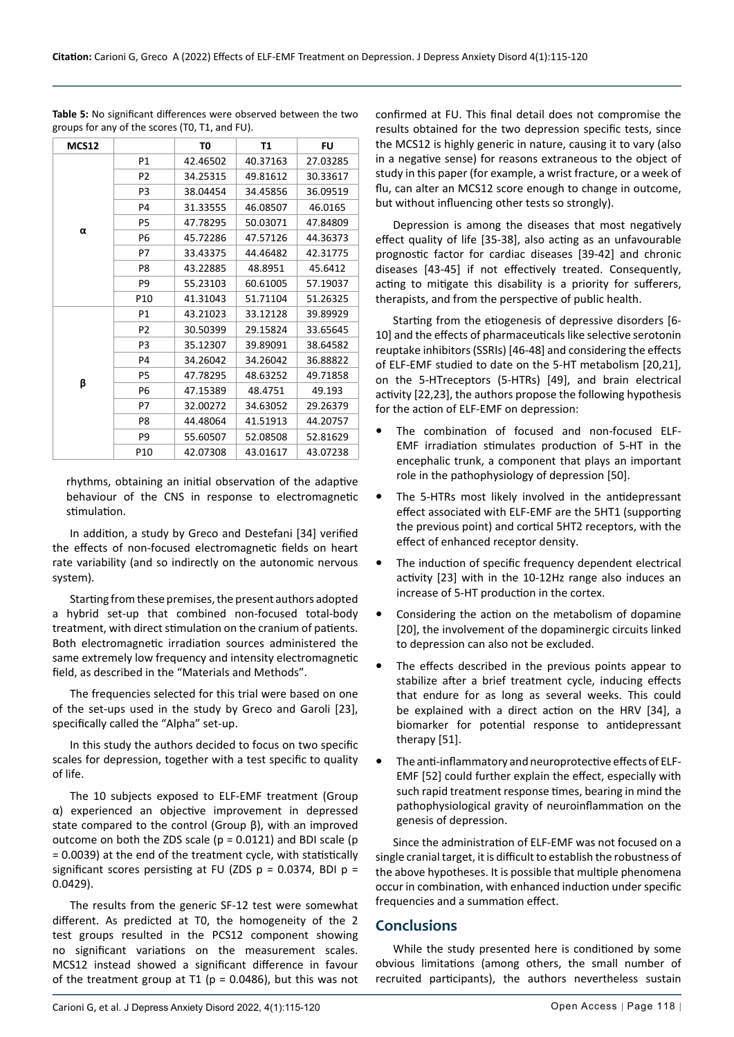| MCS12 |                | T0       | Τ1       | FU       |
|-------|----------------|----------|----------|----------|
|       | P1             | 42.46502 | 40.37163 | 27.03285 |
|       | P <sub>2</sub> | 34.25315 | 49.81612 | 30.33617 |
|       | P3             | 38.04454 | 34.45856 | 36.09519 |
|       | P <sub>4</sub> | 31.33555 | 46.08507 | 46.0165  |
|       | P5             | 47.78295 | 50.03071 | 47.84809 |
| α     | P6             | 45.72286 | 47.57126 | 44.36373 |
|       | P7             | 33.43375 | 44.46482 | 42.31775 |
|       | P8             | 43.22885 | 48.8951  | 45.6412  |
|       | P <sub>9</sub> | 55.23103 | 60.61005 | 57.19037 |
|       | P10            | 41.31043 | 51.71104 | 51.26325 |
|       | P1             | 43.21023 | 33.12128 | 39.89929 |
|       | P <sub>2</sub> | 30.50399 | 29.15824 | 33.65645 |
|       | P <sub>3</sub> | 35.12307 | 39.89091 | 38.64582 |
|       | P <sub>4</sub> | 34.26042 | 34.26042 | 36.88822 |
|       | P5             | 47.78295 | 48.63252 | 49.71858 |
| β     | P <sub>6</sub> | 47.15389 | 48.4751  | 49.193   |
|       | P7             | 32.00272 | 34.63052 | 29.26379 |
|       | P <sub>8</sub> | 44.48064 | 41.51913 | 44.20757 |
|       | P9             | 55.60507 | 52.08508 | 52.81629 |
|       | P10            | 42.07308 | 43.01617 | 43.07238 |

<span id="page-3-0"></span>**Table 5:** No significant differences were observed between the two groups for any of the scores (T0, T1, and FU).

rhythms, obtaining an initial observation of the adaptive behaviour of the CNS in response to electromagnetic stimulation.

In addition, a study by Greco and Destefani [34] verified the effects of non-focused electromagnetic fields on heart rate variability (and so indirectly on the autonomic nervous system).

Starting from these premises, the present authors adopted a hybrid set-up that combined non-focused total-body treatment, with direct stimulation on the cranium of patients. Both electromagnetic irradiation sources administered the same extremely low frequency and intensity electromagnetic field, as described in the "Materials and Methods".

The frequencies selected for this trial were based on one of the set-ups used in the study by Greco and Garoli [23], specifically called the "Alpha" set-up.

In this study the authors decided to focus on two specific scales for depression, together with a test specific to quality of life.

The 10 subjects exposed to ELF-EMF treatment (Group α) experienced an objective improvement in depressed state compared to the control (Group β), with an improved outcome on both the ZDS scale ( $p = 0.0121$ ) and BDI scale ( $p$ = 0.0039) at the end of the treatment cycle, with statistically significant scores persisting at FU (ZDS  $p = 0.0374$ , BDI  $p =$ 0.0429).

The results from the generic SF-12 test were somewhat different. As predicted at T0, the homogeneity of the 2 test groups resulted in the PCS12 component showing no significant variations on the measurement scales. MCS12 instead showed a significant difference in favour of the treatment group at T1 ( $p = 0.0486$ ), but this was not

confirmed at FU. This final detail does not compromise the results obtained for the two depression specific tests, since the MCS12 is highly generic in nature, causing it to vary (also in a negative sense) for reasons extraneous to the object of study in this paper (for example, a wrist fracture, or a week of flu, can alter an MCS12 score enough to change in outcome, but without influencing other tests so strongly).

Depression is among the diseases that most negatively effect quality of life [35-38], also acting as an unfavourable prognostic factor for cardiac diseases [39-42] and chronic diseases [43-45] if not effectively treated. Consequently, acting to mitigate this disability is a priority for sufferers, therapists, and from the perspective of public health.

Starting from the etiogenesis of depressive disorders [6- 10] and the effects of pharmaceuticals like selective serotonin reuptake inhibitors (SSRIs) [46-48] and considering the effects of ELF-EMF studied to date on the 5-HT metabolism [20,21], on the 5-HTreceptors (5-HTRs) [49], and brain electrical activity [22,23], the authors propose the following hypothesis for the action of ELF-EMF on depression:

- **•** The combination of focused and non-focused ELF-EMF irradiation stimulates production of 5-HT in the encephalic trunk, a component that plays an important role in the pathophysiology of depression [50].
- **•** The 5-HTRs most likely involved in the antidepressant effect associated with ELF-EMF are the 5HT1 (supporting the previous point) and cortical 5HT2 receptors, with the effect of enhanced receptor density.
- **•** The induction of specific frequency dependent electrical activity [23] with in the 10-12Hz range also induces an increase of 5-HT production in the cortex.
- **•** Considering the action on the metabolism of dopamine [20], the involvement of the dopaminergic circuits linked to depression can also not be excluded.
- **•** The effects described in the previous points appear to stabilize after a brief treatment cycle, inducing effects that endure for as long as several weeks. This could be explained with a direct action on the HRV [34], a biomarker for potential response to antidepressant therapy [51].
- **•** The anti-inflammatory and neuroprotective effects of ELF-EMF [52] could further explain the effect, especially with such rapid treatment response times, bearing in mind the pathophysiological gravity of neuroinflammation on the genesis of depression.

Since the administration of ELF-EMF was not focused on a single cranial target, it is difficult to establish the robustness of the above hypotheses. It is possible that multiple phenomena occur in combination, with enhanced induction under specific frequencies and a summation effect.

## **Conclusions**

While the study presented here is conditioned by some obvious limitations (among others, the small number of recruited participants), the authors nevertheless sustain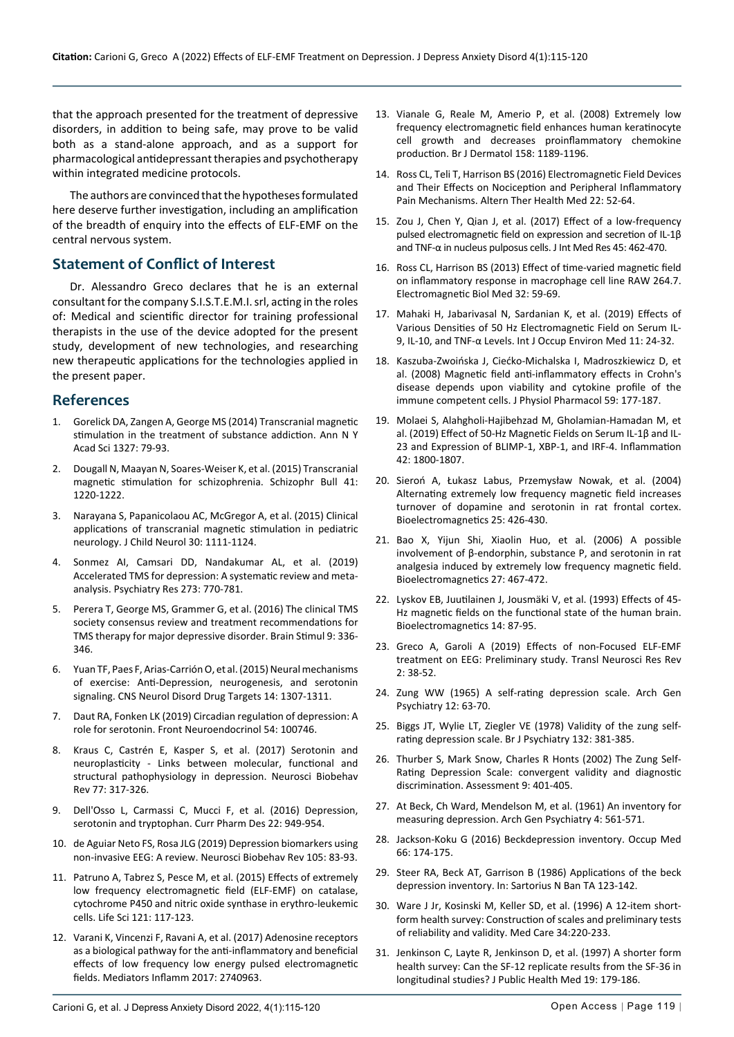that the approach presented for the treatment of depressive disorders, in addition to being safe, may prove to be valid both as a stand-alone approach, and as a support for pharmacological antidepressant therapies and psychotherapy within integrated medicine protocols.

The authors are convinced that the hypotheses formulated here deserve further investigation, including an amplification of the breadth of enquiry into the effects of ELF-EMF on the central nervous system.

## **Statement of Conflict of Interest**

Dr. Alessandro Greco declares that he is an external consultant for the company S.I.S.T.E.M.I. srl, acting in the roles of: Medical and scientific director for training professional therapists in the use of the device adopted for the present study, development of new technologies, and researching new therapeutic applications for the technologies applied in the present paper.

#### **References**

- 1. [Gorelick DA, Zangen A, George MS \(2014\) Transcranial magnetic](https://pubmed.ncbi.nlm.nih.gov/25069523/)  [stimulation in the treatment of substance addiction. Ann N Y](https://pubmed.ncbi.nlm.nih.gov/25069523/)  [Acad Sci 1327: 79-93.](https://pubmed.ncbi.nlm.nih.gov/25069523/)
- 2. Dougall N, Maayan N, Soares-Weiser K, et al. (2015) Transcranial magnetic stimulation for schizophrenia. Schizophr Bull 41: 1220-1222.
- 3. [Narayana S, Papanicolaou AC, McGregor A, et al. \(2015\) Clinical](https://pubmed.ncbi.nlm.nih.gov/25342309/)  [applications of transcranial magnetic stimulation in pediatric](https://pubmed.ncbi.nlm.nih.gov/25342309/)  [neurology. J Child Neurol 30: 1111-1124.](https://pubmed.ncbi.nlm.nih.gov/25342309/)
- 4. [Sonmez AI, Camsari DD, Nandakumar AL, et al. \(2019\)](https://pubmed.ncbi.nlm.nih.gov/31207865/)  [Accelerated TMS for depression: A systematic review and meta](https://pubmed.ncbi.nlm.nih.gov/31207865/)[analysis. Psychiatry Res 273: 770-781.](https://pubmed.ncbi.nlm.nih.gov/31207865/)
- 5. [Perera T, George MS, Grammer G, et al. \(2016\) The clinical TMS](https://pubmed.ncbi.nlm.nih.gov/27090022/)  [society consensus review and treatment recommendations for](https://pubmed.ncbi.nlm.nih.gov/27090022/)  [TMS therapy for major depressive disorder. Brain Stimul 9: 336-](https://pubmed.ncbi.nlm.nih.gov/27090022/) [346.](https://pubmed.ncbi.nlm.nih.gov/27090022/)
- 6. [Yuan TF, Paes F, Arias-Carrión O, et al. \(2015\) Neural mechanisms](https://pubmed.ncbi.nlm.nih.gov/26556077/)  [of exercise: Anti-Depression, neurogenesis, and serotonin](https://pubmed.ncbi.nlm.nih.gov/26556077/)  [signaling. CNS Neurol Disord Drug Targets 14: 1307-1311.](https://pubmed.ncbi.nlm.nih.gov/26556077/)
- 7. [Daut RA, Fonken LK \(2019\) Circadian regulation of depression: A](https://www.sciencedirect.com/science/article/abs/pii/S009130221930010X)  [role for serotonin. Front Neuroendocrinol 54: 100746.](https://www.sciencedirect.com/science/article/abs/pii/S009130221930010X)
- 8. [Kraus C, Castrén E, Kasper S, et al. \(2017\) Serotonin and](https://pubmed.ncbi.nlm.nih.gov/28342763/)  [neuroplasticity - Links between molecular, functional and](https://pubmed.ncbi.nlm.nih.gov/28342763/)  [structural pathophysiology in depression. Neurosci Biobehav](https://pubmed.ncbi.nlm.nih.gov/28342763/)  [Rev 77: 317-326.](https://pubmed.ncbi.nlm.nih.gov/28342763/)
- 9. [Dell'Osso L, Carmassi C, Mucci F, et al. \(2016\) Depression,](https://pubmed.ncbi.nlm.nih.gov/26654774/)  [serotonin and tryptophan. Curr Pharm Des 22: 949-954.](https://pubmed.ncbi.nlm.nih.gov/26654774/)
- 10. [de Aguiar Neto FS, Rosa JLG \(2019\) Depression biomarkers using](https://pubmed.ncbi.nlm.nih.gov/31400570/)  [non-invasive EEG: A review. Neurosci Biobehav Rev 105: 83-93.](https://pubmed.ncbi.nlm.nih.gov/31400570/)
- 11. [Patruno A, Tabrez S, Pesce M, et al. \(2015\) Effects of extremely](https://pubmed.ncbi.nlm.nih.gov/25498893/)  [low frequency electromagnetic field \(ELF-EMF\) on catalase,](https://pubmed.ncbi.nlm.nih.gov/25498893/)  [cytochrome P450 and nitric oxide synthase in erythro-leukemic](https://pubmed.ncbi.nlm.nih.gov/25498893/)  [cells. Life Sci 121: 117-123.](https://pubmed.ncbi.nlm.nih.gov/25498893/)
- 12. [Varani K, Vincenzi F, Ravani A, et al. \(2017\) Adenosine receptors](https://pubmed.ncbi.nlm.nih.gov/28255202/)  [as a biological pathway for the anti-inflammatory and beneficial](https://pubmed.ncbi.nlm.nih.gov/28255202/)  [effects of low frequency low energy pulsed electromagnetic](https://pubmed.ncbi.nlm.nih.gov/28255202/)  [fields. Mediators Inflamm 2017: 2740963.](https://pubmed.ncbi.nlm.nih.gov/28255202/)
- 13. [Vianale G, Reale M, Amerio P, et al. \(2008\) Extremely low](https://pubmed.ncbi.nlm.nih.gov/18410412/)  [frequency electromagnetic field enhances human keratinocyte](https://pubmed.ncbi.nlm.nih.gov/18410412/)  [cell growth and decreases proinflammatory chemokine](https://pubmed.ncbi.nlm.nih.gov/18410412/)  [production. Br J Dermatol 158: 1189-1196.](https://pubmed.ncbi.nlm.nih.gov/18410412/)
- 14. [Ross CL, Teli T, Harrison BS \(2016\) Electromagnetic Field Devices](https://pubmed.ncbi.nlm.nih.gov/27228272/)  [and Their Effects on Nociception and Peripheral Inflammatory](https://pubmed.ncbi.nlm.nih.gov/27228272/)  [Pain Mechanisms. Altern Ther Health Med 22: 52-64.](https://pubmed.ncbi.nlm.nih.gov/27228272/)
- 15. [Zou J, Chen Y, Qian J, et al. \(2017\) Effect of a low-frequency](https://pubmed.ncbi.nlm.nih.gov/28173722/)  [pulsed electromagnetic field on expression and secretion of IL-1β](https://pubmed.ncbi.nlm.nih.gov/28173722/)  [and TNF-α in nucleus pulposus cells. J Int Med Res 45: 462-470.](https://pubmed.ncbi.nlm.nih.gov/28173722/)
- 16. [Ross CL, Harrison BS \(2013\) Effect of time-varied magnetic field](https://pubmed.ncbi.nlm.nih.gov/23046146/)  [on inflammatory response in macrophage cell line RAW 264.7.](https://pubmed.ncbi.nlm.nih.gov/23046146/)  [Electromagnetic Biol Med 32: 59-69.](https://pubmed.ncbi.nlm.nih.gov/23046146/)
- 17. Mahaki H, [Jabarivasal N, Sardanian K, et al. \(2019\) Effects of](https://pubmed.ncbi.nlm.nih.gov/31647056/)  [Various Densities of 50 Hz Electromagnetic Field on Serum IL-](https://pubmed.ncbi.nlm.nih.gov/31647056/)[9, IL-10, and TNF-α Levels. Int J Occup Environ Med 11: 24-32.](https://pubmed.ncbi.nlm.nih.gov/31647056/)
- 18. [Kaszuba-Zwoińska J, Ciećko-Michalska I, Madroszkiewicz D, et](https://pubmed.ncbi.nlm.nih.gov/18441397/)  [al. \(2008\) Magnetic field anti-inflammatory effects in Crohn's](https://pubmed.ncbi.nlm.nih.gov/18441397/)  [disease depends upon viability and cytokine profile of the](https://pubmed.ncbi.nlm.nih.gov/18441397/)  [immune competent cells. J Physiol Pharmacol 59: 177-187.](https://pubmed.ncbi.nlm.nih.gov/18441397/)
- 19. [Molaei S, Alahgholi-Hajibehzad M, Gholamian-Hamadan M, et](https://pubmed.ncbi.nlm.nih.gov/31286334/)  [al. \(2019\) Effect of 50-Hz Magnetic Fields on Serum IL-1β and IL-](https://pubmed.ncbi.nlm.nih.gov/31286334/)[23 and Expression of BLIMP-1, XBP-1, and IRF-4. Inflammation](https://pubmed.ncbi.nlm.nih.gov/31286334/)  [42: 1800-1807.](https://pubmed.ncbi.nlm.nih.gov/31286334/)
- 20. [Sieroń A, Łukasz Labus, Przemysław Nowak, et al. \(2004\)](https://pubmed.ncbi.nlm.nih.gov/15300728/)  [Alternating extremely low frequency magnetic field increases](https://pubmed.ncbi.nlm.nih.gov/15300728/)  [turnover of dopamine and serotonin in rat frontal cortex.](https://pubmed.ncbi.nlm.nih.gov/15300728/)  [Bioelectromagnetics 25: 426-430.](https://pubmed.ncbi.nlm.nih.gov/15300728/)
- 21. [Bao X, Yijun Shi, Xiaolin Huo, et al. \(2006\) A possible](https://pubmed.ncbi.nlm.nih.gov/16622860/)  [involvement of β-endorphin, substance P, and serotonin in rat](https://pubmed.ncbi.nlm.nih.gov/16622860/)  [analgesia induced by extremely low frequency magnetic field.](https://pubmed.ncbi.nlm.nih.gov/16622860/)  [Bioelectromagnetics 27: 467-472.](https://pubmed.ncbi.nlm.nih.gov/16622860/)
- 22. [Lyskov EB, Juutilainen J, Jousmäki V, et al. \(1993\) Effects of 45-](https://pubmed.ncbi.nlm.nih.gov/8494559/) [Hz magnetic fields on the functional state of the human brain.](https://pubmed.ncbi.nlm.nih.gov/8494559/)  [Bioelectromagnetics 14: 87-95.](https://pubmed.ncbi.nlm.nih.gov/8494559/)
- 23. [Greco A, Garoli A \(2019\) Effects of non-Focused ELF-EMF](https://scholars.direct/Articles/translational-neuroscience/tnrr-2-006.php?jid=translational-neuroscience)  [treatment on EEG: Preliminary study. Transl Neurosci Res Rev](https://scholars.direct/Articles/translational-neuroscience/tnrr-2-006.php?jid=translational-neuroscience)  [2: 38-52.](https://scholars.direct/Articles/translational-neuroscience/tnrr-2-006.php?jid=translational-neuroscience)
- 24. [Zung WW \(1965\) A self-rating depression scale. Arch Gen](https://pubmed.ncbi.nlm.nih.gov/14221692/)  [Psychiatry 12: 63-70.](https://pubmed.ncbi.nlm.nih.gov/14221692/)
- 25. [Biggs JT, Wylie LT, Ziegler VE \(1978\) Validity of the zung self](https://pubmed.ncbi.nlm.nih.gov/638392/)[rating depression scale. Br J Psychiatry 132: 381-385.](https://pubmed.ncbi.nlm.nih.gov/638392/)
- 26. [Thurber S, Mark Snow, Charles R Honts \(2002\) The Zung Self-](https://pubmed.ncbi.nlm.nih.gov/12462760/)[Rating Depression Scale: convergent validity and diagnostic](https://pubmed.ncbi.nlm.nih.gov/12462760/)  [discrimination. Assessment 9: 401-405.](https://pubmed.ncbi.nlm.nih.gov/12462760/)
- 27. [At Beck, Ch Ward, Mendelson M, et al. \(1961\) An inventory for](https://pubmed.ncbi.nlm.nih.gov/13688369/)  [measuring depression. Arch Gen Psychiatry 4: 561-571.](https://pubmed.ncbi.nlm.nih.gov/13688369/)
- 28. [Jackson-Koku G \(2016\) Beckdepression inventory. Occup Med](https://pubmed.ncbi.nlm.nih.gov/26892598/)  [66: 174-175.](https://pubmed.ncbi.nlm.nih.gov/26892598/)
- 29. Steer RA, Beck AT, Garrison B (1986) Applications of the beck depression inventory. In: Sartorius N Ban TA 123-142.
- 30. [Ware J Jr, Kosinski M, Keller SD, et al. \(1996\) A 12-item short](https://pubmed.ncbi.nlm.nih.gov/8628042/)[form health survey: Construction of scales and preliminary tests](https://pubmed.ncbi.nlm.nih.gov/8628042/)  [of reliability and validity. Med Care 34:220-233.](https://pubmed.ncbi.nlm.nih.gov/8628042/)
- 31. [Jenkinson C, Layte R, Jenkinson D, et al. \(1997\) A shorter form](https://pubmed.ncbi.nlm.nih.gov/9243433/)  [health survey: Can the SF-12 replicate results from the SF-36 in](https://pubmed.ncbi.nlm.nih.gov/9243433/)  [longitudinal studies? J Public Health Med 19: 179-186.](https://pubmed.ncbi.nlm.nih.gov/9243433/)